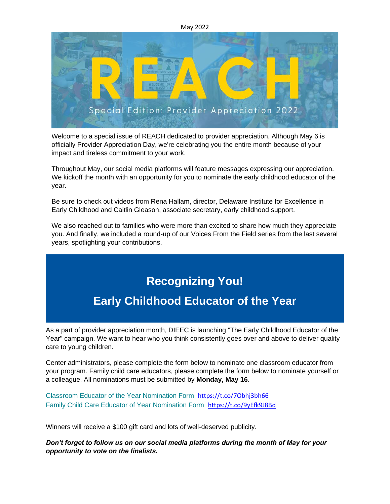#### May 2022



Welcome to a special issue of REACH dedicated to provider appreciation. Although May 6 is officially Provider Appreciation Day, we're celebrating you the entire month because of your impact and tireless commitment to your work.

Throughout May, our social media platforms will feature messages expressing our appreciation. We kickoff the month with an opportunity for you to nominate the early childhood educator of the year.

Be sure to check out videos from Rena Hallam, director, Delaware Institute for Excellence in Early Childhood and Caitlin Gleason, associate secretary, early childhood support.

We also reached out to families who were more than excited to share how much they appreciate you. And finally, we included a round-up of our Voices From the Field series from the last several years, spotlighting your contributions.

# **Recognizing You!**

### **Early Childhood Educator of the Year**

As a part of provider appreciation month, DIEEC is launching "The Early Childhood Educator of the Year" campaign. We want to hear who you think consistently goes over and above to deliver quality care to young children.

Center administrators, please complete the form below to nominate one classroom educator from your program. Family child care educators, please complete the form below to nominate yourself or a colleague. All nominations must be submitted by **Monday, May 16**.

[Classroom Educator of the Year Nomination Form](https://udel.us5.list-manage.com/track/click?u=0a97a40a628fbcbb06ab6665a&id=818785d8cd&e=77194ffa40) <https://t.co/7Obhj3bh66> [Family Child Care Educator of Year Nomination Form](https://udel.us5.list-manage.com/track/click?u=0a97a40a628fbcbb06ab6665a&id=3112f14c7f&e=77194ffa40) <https://t.co/9yEfk9J8Bd>

Winners will receive a \$100 gift card and lots of well-deserved publicity.

*Don't forget to follow us on our social media platforms during the month of May for your opportunity to vote on the finalists.*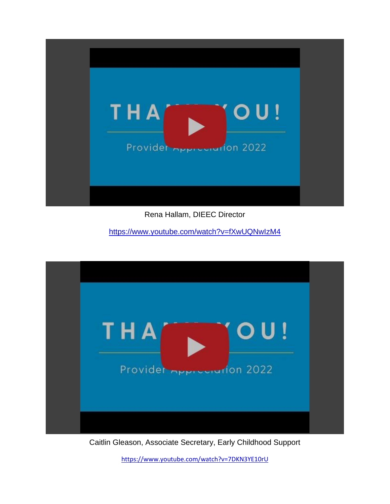

Rena Hallam, DIEEC Director

<https://www.youtube.com/watch?v=fXwUQNwIzM4>



Caitlin Gleason, Associate Secretary, Early Childhood Support

<https://www.youtube.com/watch?v=7DKN3YE10rU>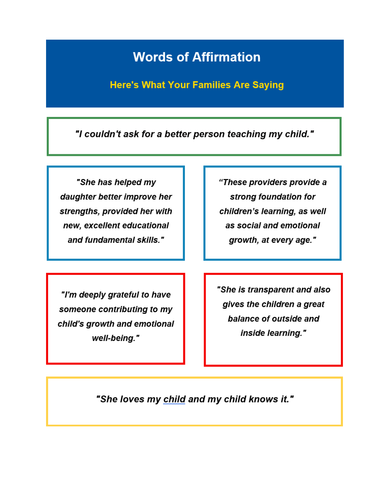## **Words of Affirmation**

**Here's What Your Families Are Saying** 

"I couldn't ask for a better person teaching my child."

"She has helped my daughter better improve her strengths, provided her with new, excellent educational and fundamental skills."

"These providers provide a strong foundation for children's learning, as well as social and emotional growth, at every age."

"I'm deeply grateful to have someone contributing to my child's growth and emotional well-being."

"She is transparent and also gives the children a great balance of outside and inside learning."

"She loves my child and my child knows it."